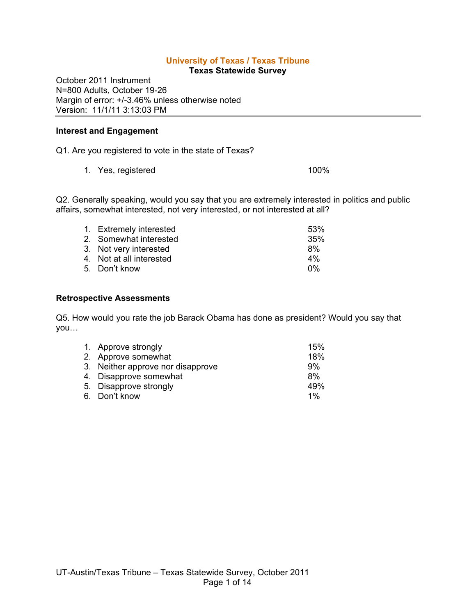# **University of Texas / Texas Tribune**

**Texas Statewide Survey**

October 2011 Instrument N=800 Adults, October 19-26 Margin of error: +/-3.46% unless otherwise noted Version: 11/1/11 3:13:03 PM

#### **Interest and Engagement**

Q1. Are you registered to vote in the state of Texas?

1. Yes, registered 100%

Q2. Generally speaking, would you say that you are extremely interested in politics and public affairs, somewhat interested, not very interested, or not interested at all?

| 1. Extremely interested  | 53% |
|--------------------------|-----|
| 2. Somewhat interested   | 35% |
| 3. Not very interested   | 8%  |
| 4. Not at all interested | 4%  |
| 5. Don't know            | በ%  |

### **Retrospective Assessments**

Q5. How would you rate the job Barack Obama has done as president? Would you say that you…

| 1. Approve strongly               | 15%   |
|-----------------------------------|-------|
| 2. Approve somewhat               | 18%   |
| 3. Neither approve nor disapprove | 9%    |
| 4. Disapprove somewhat            | 8%    |
| 5. Disapprove strongly            | 49%   |
| 6. Don't know                     | $1\%$ |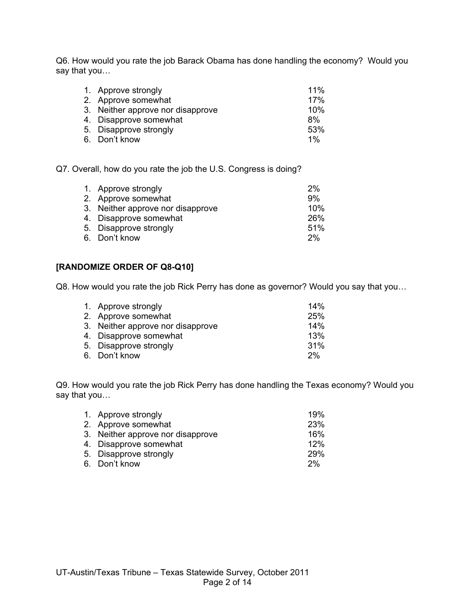Q6. How would you rate the job Barack Obama has done handling the economy? Would you say that you…

| 1. Approve strongly    | 11%                                                      |
|------------------------|----------------------------------------------------------|
|                        | 17%                                                      |
|                        | 10%                                                      |
| 4. Disapprove somewhat | 8%                                                       |
| 5. Disapprove strongly | 53%                                                      |
| 6. Don't know          | $1\%$                                                    |
|                        | 2. Approve somewhat<br>3. Neither approve nor disapprove |

Q7. Overall, how do you rate the job the U.S. Congress is doing?

| 1. Approve strongly               | 2%  |
|-----------------------------------|-----|
| 2. Approve somewhat               | 9%  |
| 3. Neither approve nor disapprove | 10% |
| 4. Disapprove somewhat            | 26% |
| 5. Disapprove strongly            | 51% |
| 6. Don't know                     | 2%  |
|                                   |     |

# **[RANDOMIZE ORDER OF Q8-Q10]**

Q8. How would you rate the job Rick Perry has done as governor? Would you say that you…

| 1. Approve strongly               | 14% |
|-----------------------------------|-----|
| 2. Approve somewhat               | 25% |
| 3. Neither approve nor disapprove | 14% |
| 4. Disapprove somewhat            | 13% |
| 5. Disapprove strongly            | 31% |
| 6. Don't know                     | 2%  |

Q9. How would you rate the job Rick Perry has done handling the Texas economy? Would you say that you…

| 1. Approve strongly               | 19%        |
|-----------------------------------|------------|
| 2. Approve somewhat               | <b>23%</b> |
| 3. Neither approve nor disapprove | 16%        |
| 4. Disapprove somewhat            | 12%        |
| 5. Disapprove strongly            | 29%        |
| 6. Don't know                     | 2%         |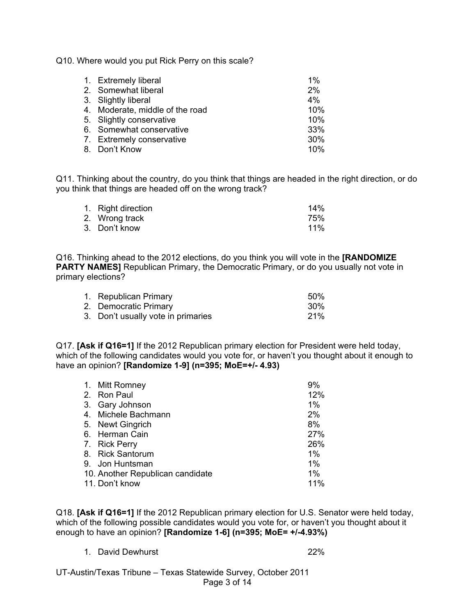Q10. Where would you put Rick Perry on this scale?

| 1. Extremely liberal            | 1%  |
|---------------------------------|-----|
| 2. Somewhat liberal             | 2%  |
| 3. Slightly liberal             | 4%  |
| 4. Moderate, middle of the road | 10% |
| 5. Slightly conservative        | 10% |
| 6. Somewhat conservative        | 33% |
| 7. Extremely conservative       | 30% |
| 8. Don't Know                   | 10% |
|                                 |     |

Q11. Thinking about the country, do you think that things are headed in the right direction, or do you think that things are headed off on the wrong track?

| 1. Right direction | 14%        |
|--------------------|------------|
| 2. Wrong track     | 75%        |
| 3. Don't know      | <b>11%</b> |

Q16. Thinking ahead to the 2012 elections, do you think you will vote in the **[RANDOMIZE PARTY NAMES]** Republican Primary, the Democratic Primary, or do you usually not vote in primary elections?

| 1. Republican Primary              | 50% |
|------------------------------------|-----|
| 2. Democratic Primary              | 30% |
| 3. Don't usually vote in primaries | 21% |

Q17. **[Ask if Q16=1]** If the 2012 Republican primary election for President were held today, which of the following candidates would you vote for, or haven't you thought about it enough to have an opinion? **[Randomize 1-9] (n=395; MoE=+/- 4.93)**

| 1. Mitt Romney                   | 9%    |
|----------------------------------|-------|
| 2. Ron Paul                      | 12%   |
| 3. Gary Johnson                  | 1%    |
| 4. Michele Bachmann              | 2%    |
| 5. Newt Gingrich                 | 8%    |
| 6. Herman Cain                   | 27%   |
| 7. Rick Perry                    | 26%   |
| 8. Rick Santorum                 | 1%    |
| 9. Jon Huntsman                  | $1\%$ |
| 10. Another Republican candidate | 1%    |
| 11. Don't know                   | 11%   |
|                                  |       |

Q18. **[Ask if Q16=1]** If the 2012 Republican primary election for U.S. Senator were held today, which of the following possible candidates would you vote for, or haven't you thought about it enough to have an opinion? **[Randomize 1-6] (n=395; MoE= +/-4.93%)**

1. David Dewhurst 22%

UT-Austin/Texas Tribune – Texas Statewide Survey, October 2011 Page 3 of 14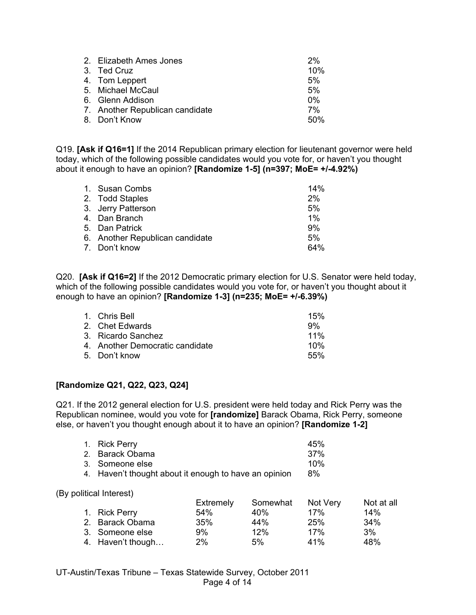| 2. Elizabeth Ames Jones         | 2%    |
|---------------------------------|-------|
| 3. Ted Cruz                     | 10%   |
| 4. Tom Leppert                  | 5%    |
| 5. Michael McCaul               | 5%    |
| 6. Glenn Addison                | $0\%$ |
| 7. Another Republican candidate | 7%    |
| 8. Don't Know                   | 50%   |

Q19. **[Ask if Q16=1]** If the 2014 Republican primary election for lieutenant governor were held today, which of the following possible candidates would you vote for, or haven't you thought about it enough to have an opinion? **[Randomize 1-5] (n=397; MoE= +/-4.92%)**

| 1. Susan Combs                  | 14%   |
|---------------------------------|-------|
| 2. Todd Staples                 | 2%    |
| 3. Jerry Patterson              | 5%    |
| 4. Dan Branch                   | $1\%$ |
| 5. Dan Patrick                  | 9%    |
| 6. Another Republican candidate | 5%    |
| 7. Don't know                   | 64%   |

Q20. **[Ask if Q16=2]** If the 2012 Democratic primary election for U.S. Senator were held today, which of the following possible candidates would you vote for, or haven't you thought about it enough to have an opinion? **[Randomize 1-3] (n=235; MoE= +/-6.39%)**

| 1. Chris Bell                   | 15%    |
|---------------------------------|--------|
| 2. Chet Edwards                 | 9%     |
| 3. Ricardo Sanchez              | $11\%$ |
| 4. Another Democratic candidate | 10%    |
| 5. Don't know                   | .55%   |

## **[Randomize Q21, Q22, Q23, Q24]**

Q21. If the 2012 general election for U.S. president were held today and Rick Perry was the Republican nominee, would you vote for **[randomize]** Barack Obama, Rick Perry, someone else, or haven't you thought enough about it to have an opinion? **[Randomize 1-2]**

| 1. Rick Perry                                         | 45% |
|-------------------------------------------------------|-----|
| 2. Barack Obama                                       | 37% |
| 3. Someone else                                       | 10% |
| 4. Haven't thought about it enough to have an opinion | 8%  |

(By political Interest)

|                   | Extremely | Somewhat | Not Very   | Not at all |
|-------------------|-----------|----------|------------|------------|
| 1. Rick Perry     | 54%       | 40%      | 17%        | 14%        |
| 2. Barack Obama   | 35%       | 44%      | <b>25%</b> | 34%        |
| 3. Someone else   | 9%        | 12%      | 17%        | 3%         |
| 4. Haven't though | 2%        | 5%       | 41%        | 48%        |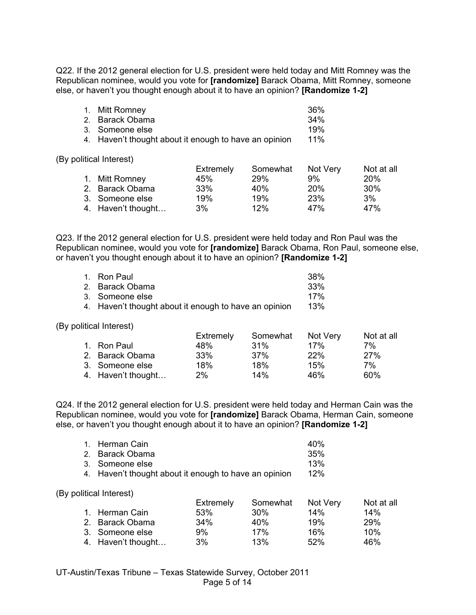Q22. If the 2012 general election for U.S. president were held today and Mitt Romney was the Republican nominee, would you vote for **[randomize]** Barack Obama, Mitt Romney, someone else, or haven't you thought enough about it to have an opinion? **[Randomize 1-2]**

| 1. Mitt Romney                                        | 36% |
|-------------------------------------------------------|-----|
| 2. Barack Obama                                       | 34% |
| 3. Someone else                                       | 19% |
| 4. Haven't thought about it enough to have an opinion | 11% |

(By political Interest)

|                    | Extremely | Somewhat | Not Very   | Not at all |
|--------------------|-----------|----------|------------|------------|
| 1. Mitt Romney     | 45%       | 29%      | 9%         | <b>20%</b> |
| 2. Barack Obama    | 33%       | 40%      | <b>20%</b> | 30%        |
| 3. Someone else    | 19%       | 19%      | 23%        | 3%         |
| 4. Haven't thought | 3%        | 12%      | 47%        | 47%        |

Q23. If the 2012 general election for U.S. president were held today and Ron Paul was the Republican nominee, would you vote for **[randomize]** Barack Obama, Ron Paul, someone else, or haven't you thought enough about it to have an opinion? **[Randomize 1-2]**

| 1. Ron Paul                                           | 38% |
|-------------------------------------------------------|-----|
| 2. Barack Obama                                       | 33% |
| 3. Someone else                                       | 17% |
| 4. Haven't thought about it enough to have an opinion | 13% |

(By political Interest)

|                    | Extremely | Somewhat | Not Very | Not at all |
|--------------------|-----------|----------|----------|------------|
| 1. Ron Paul        | 48%       | $.31\%$  | 17%      | 7%         |
| 2. Barack Obama    | 33%       | $.37\%$  | 22%      | 27%        |
| 3. Someone else    | 18%       | 18%      | 15%      | 7%         |
| 4. Haven't thought | $2\%$     | 14%      | 46%      | 60%        |

Q24. If the 2012 general election for U.S. president were held today and Herman Cain was the Republican nominee, would you vote for **[randomize]** Barack Obama, Herman Cain, someone else, or haven't you thought enough about it to have an opinion? **[Randomize 1-2]**

| 1. Herman Cain                                        | 40% |
|-------------------------------------------------------|-----|
| 2. Barack Obama                                       | 35% |
| 3. Someone else                                       | 13% |
| 4. Haven't thought about it enough to have an opinion | 12% |

(By political Interest)

|                    | Extremely | Somewhat | Not Very | Not at all |
|--------------------|-----------|----------|----------|------------|
| 1. Herman Cain     | 53%       | .30%     | 14%      | 14%        |
| 2. Barack Obama    | 34%       | 40%      | 19%      | 29%        |
| 3. Someone else    | 9%        | 17%      | 16%      | 10%        |
| 4. Haven't thought | 3%        | 13%      | 52%      | 46%        |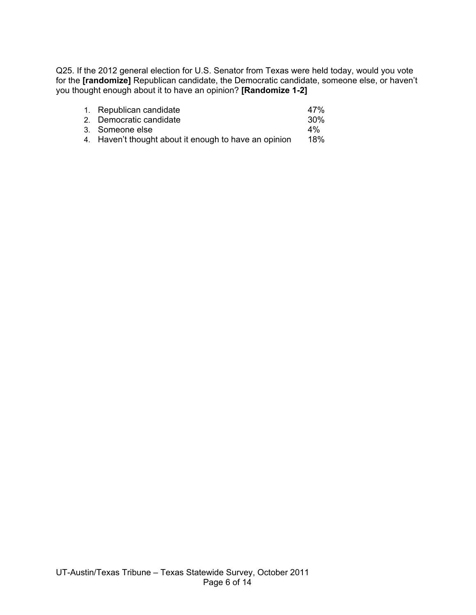Q25. If the 2012 general election for U.S. Senator from Texas were held today, would you vote for the **[randomize]** Republican candidate, the Democratic candidate, someone else, or haven't you thought enough about it to have an opinion? **[Randomize 1-2]**

| 1. Republican candidate                               | 47%             |
|-------------------------------------------------------|-----------------|
| 2. Democratic candidate                               | 30 <sup>%</sup> |
| 3. Someone else                                       | $4\%$           |
| 4. Haven't thought about it enough to have an opinion | 18%             |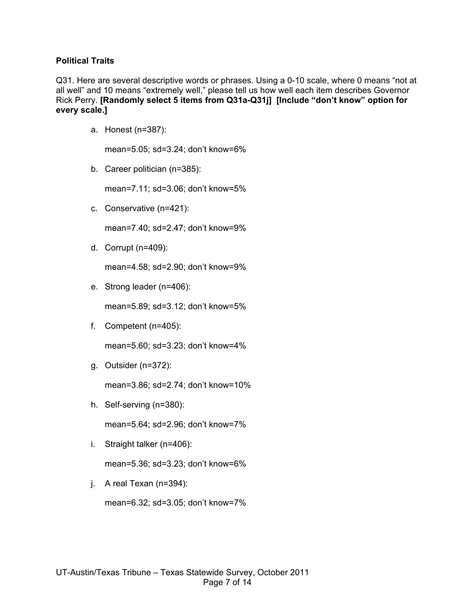## **Political Traits**

Q31. Here are several descriptive words or phrases. Using a 0-10 scale, where 0 means "not at all well" and 10 means "extremely well," please tell us how well each item describes Governor Rick Perry. **[Randomly select 5 items from Q31a-Q31j] [Include "don't know" option for every scale.]**

a. Honest (n=387):

mean=5.05; sd=3.24; don't know=6%

b. Career politician (n=385):

mean=7.11; sd=3.06; don't know=5%

c. Conservative (n=421):

mean=7.40; sd=2.47; don't know=9%

d. Corrupt (n=409):

mean=4.58; sd=2.90; don't know=9%

e. Strong leader (n=406):

mean=5.89; sd=3.12; don't know=5%

f. Competent (n=405):

mean=5.60; sd=3.23; don't know=4%

g. Outsider (n=372):

mean=3.86; sd=2.74; don't know=10%

h. Self-serving (n=380):

mean=5.64; sd=2.96; don't know=7%

i. Straight talker (n=406):

mean=5.36; sd=3.23; don't know=6%

j. A real Texan (n=394):

mean=6.32; sd=3.05; don't know=7%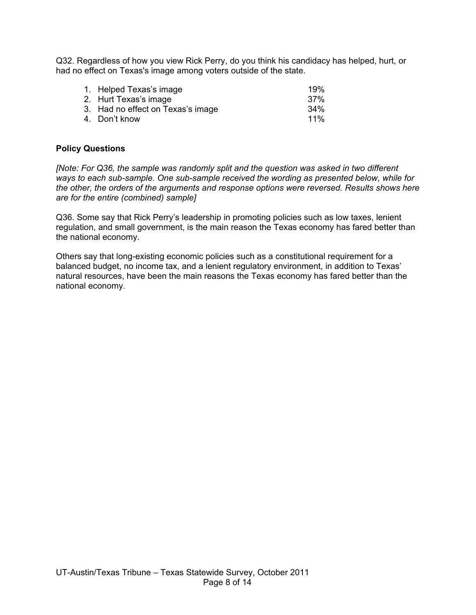Q32. Regardless of how you view Rick Perry, do you think his candidacy has helped, hurt, or had no effect on Texas's image among voters outside of the state.

| 1. Helped Texas's image           | 19%    |
|-----------------------------------|--------|
| 2. Hurt Texas's image             | 37%    |
| 3. Had no effect on Texas's image | $34\%$ |
| 4. Don't know                     | $11\%$ |
|                                   |        |

## **Policy Questions**

*[Note: For Q36, the sample was randomly split and the question was asked in two different ways to each sub-sample. One sub-sample received the wording as presented below, while for the other, the orders of the arguments and response options were reversed. Results shows here are for the entire (combined) sample]* 

Q36. Some say that Rick Perry's leadership in promoting policies such as low taxes, lenient regulation, and small government, is the main reason the Texas economy has fared better than the national economy.

Others say that long-existing economic policies such as a constitutional requirement for a balanced budget, no income tax, and a lenient regulatory environment, in addition to Texas' natural resources, have been the main reasons the Texas economy has fared better than the national economy.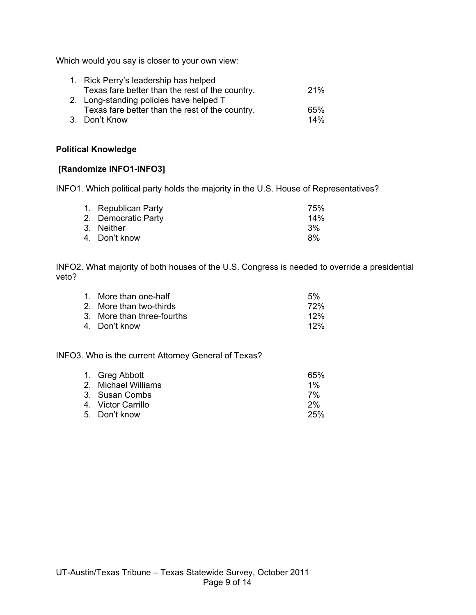Which would you say is closer to your own view:

| 1. Rick Perry's leadership has helped           |     |
|-------------------------------------------------|-----|
| Texas fare better than the rest of the country. | 21% |
| 2. Long-standing policies have helped T         |     |
| Texas fare better than the rest of the country. | 65% |
| 3. Don't Know                                   | 14% |

### **Political Knowledge**

# **[Randomize INFO1-INFO3]**

INFO1. Which political party holds the majority in the U.S. House of Representatives?

| 1. Republican Party | 75%    |
|---------------------|--------|
| 2. Democratic Party | $14\%$ |
| 3. Neither          | 3%     |
| 4. Don't know       | 8%     |

INFO2. What majority of both houses of the U.S. Congress is needed to override a presidential veto?

| 1. More than one-half      | 5%  |
|----------------------------|-----|
| 2. More than two-thirds    | 72% |
| 3. More than three-fourths | 12% |
| 4. Don't know              | 12% |
|                            |     |

INFO3. Who is the current Attorney General of Texas?

| 1. Greg Abbott       | 65%   |
|----------------------|-------|
| 2. Michael Williams  | $1\%$ |
| 3. Susan Combs       | 7%    |
| 4.   Victor Carrillo | 2%    |
| 5. Don't know        | 25%   |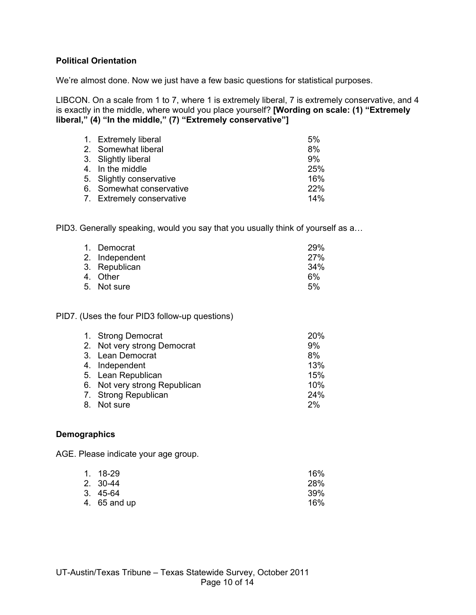## **Political Orientation**

We're almost done. Now we just have a few basic questions for statistical purposes.

LIBCON. On a scale from 1 to 7, where 1 is extremely liberal, 7 is extremely conservative, and 4 is exactly in the middle, where would you place yourself? **[Wording on scale: (1) "Extremely liberal," (4) "In the middle," (7) "Extremely conservative"]**

| 1. Extremely liberal      | 5%         |
|---------------------------|------------|
| 2. Somewhat liberal       | 8%         |
| 3. Slightly liberal       | 9%         |
| 4. In the middle          | 25%        |
| 5. Slightly conservative  | 16%        |
| 6. Somewhat conservative  | <b>22%</b> |
| 7. Extremely conservative | 14%        |

PID3. Generally speaking, would you say that you usually think of yourself as a…

| 1. Democrat    | <b>29%</b> |
|----------------|------------|
| 2. Independent | <b>27%</b> |
| 3. Republican  | 34%        |
| 4. Other       | 6%         |
| 5. Not sure    | 5%         |

PID7. (Uses the four PID3 follow-up questions)

| 1. Strong Democrat            | 20% |
|-------------------------------|-----|
| 2. Not very strong Democrat   | 9%  |
| 3. Lean Democrat              | 8%  |
| 4. Independent                | 13% |
| 5. Lean Republican            | 15% |
| 6. Not very strong Republican | 10% |
| 7. Strong Republican          | 24% |
| 8. Not sure                   | 2%  |
|                               |     |

#### **Demographics**

AGE. Please indicate your age group.

| 1. 18-29     | 16% |
|--------------|-----|
| 2. 30-44     | 28% |
| 3. 45-64     | 39% |
| 4. 65 and up | 16% |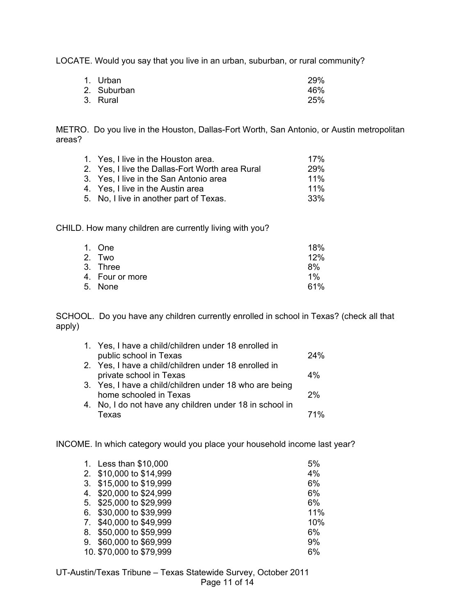LOCATE. Would you say that you live in an urban, suburban, or rural community?

| 1. Urban    | <b>29%</b> |
|-------------|------------|
| 2. Suburban | 46%        |
| 3. Rural    | 25%        |

METRO. Do you live in the Houston, Dallas-Fort Worth, San Antonio, or Austin metropolitan areas?

| 1. Yes, I live in the Houston area.             | 17%        |
|-------------------------------------------------|------------|
| 2. Yes, I live the Dallas-Fort Worth area Rural | <b>29%</b> |
|                                                 |            |
| 3. Yes, I live in the San Antonio area          | $11\%$     |
| 4. Yes, I live in the Austin area               | $11\%$     |
| 5. No, I live in another part of Texas.         | .33%       |
|                                                 |            |

CHILD. How many children are currently living with you?

| 1. One          | 18%   |
|-----------------|-------|
| 2. Two          | 12%   |
| 3. Three        | 8%    |
| 4. Four or more | $1\%$ |
| 5. None         | 61%   |
|                 |       |

SCHOOL. Do you have any children currently enrolled in school in Texas? (check all that apply)

| 1. Yes, I have a child/children under 18 enrolled in    |     |
|---------------------------------------------------------|-----|
| public school in Texas                                  | 24% |
| 2. Yes, I have a child/children under 18 enrolled in    |     |
| private school in Texas                                 | 4%  |
| 3. Yes, I have a child/children under 18 who are being  |     |
| home schooled in Texas                                  | 2%  |
| 4. No, I do not have any children under 18 in school in |     |
| Texas                                                   | 71% |
|                                                         |     |

INCOME. In which category would you place your household income last year?

|    | 1. Less than \$10,000    | 5%  |
|----|--------------------------|-----|
|    | 2. \$10,000 to \$14,999  | 4%  |
|    | 3. \$15,000 to \$19,999  | 6%  |
|    | 4. \$20,000 to \$24,999  | 6%  |
|    | 5. \$25,000 to \$29,999  | 6%  |
| 6. | \$30,000 to \$39,999     | 11% |
|    | 7. \$40,000 to \$49,999  | 10% |
| 8. | \$50,000 to \$59,999     | 6%  |
| 9. | \$60,000 to \$69,999     | 9%  |
|    | 10. \$70,000 to \$79,999 | 6%  |
|    |                          |     |

UT-Austin/Texas Tribune – Texas Statewide Survey, October 2011 Page 11 of 14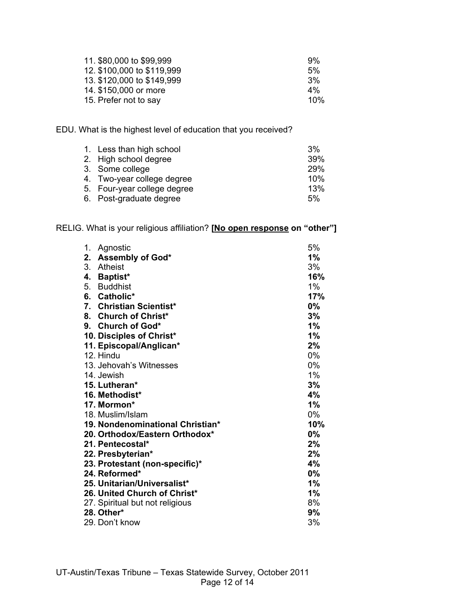| 11. \$80,000 to \$99,999   | 9%    |
|----------------------------|-------|
| 12. \$100,000 to \$119,999 | 5%    |
| 13. \$120,000 to \$149,999 | 3%    |
| 14. \$150,000 or more      | $4\%$ |
| 15. Prefer not to say      | 10%   |

EDU. What is the highest level of education that you received?

| 39% |
|-----|
| 29% |
| 10% |
| 13% |
| 5%  |
|     |

# RELIG. What is your religious affiliation? **[No open response on "other"]**

| 1. | Agnostic                         | 5%    |
|----|----------------------------------|-------|
| 2. | Assembly of God*                 | 1%    |
| 3. | Atheist                          | 3%    |
| 4. | <b>Baptist*</b>                  | 16%   |
| 5. | Buddhist                         | 1%    |
|    | 6. Catholic*                     | 17%   |
| 7. | <b>Christian Scientist*</b>      | 0%    |
|    | 8. Church of Christ*             | 3%    |
|    | 9. Church of God*                | 1%    |
|    | 10. Disciples of Christ*         | 1%    |
|    | 11. Episcopal/Anglican*          | 2%    |
|    | 12. Hindu                        | $0\%$ |
|    | 13. Jehovah's Witnesses          | 0%    |
|    | 14. Jewish                       | 1%    |
|    | 15. Lutheran*                    | 3%    |
|    | 16. Methodist*                   | 4%    |
|    | 17. Mormon*                      | 1%    |
|    | 18. Muslim/Islam                 | 0%    |
|    | 19. Nondenominational Christian* | 10%   |
|    | 20. Orthodox/Eastern Orthodox*   | 0%    |
|    | 21. Pentecostal*                 | 2%    |
|    | 22. Presbyterian*                | 2%    |
|    | 23. Protestant (non-specific)*   | 4%    |
|    | 24. Reformed*                    | 0%    |
|    | 25. Unitarian/Universalist*      | 1%    |
|    | 26. United Church of Christ*     | 1%    |
|    | 27. Spiritual but not religious  | 8%    |
|    | 28. Other*                       | 9%    |
|    | 29. Don't know                   | 3%    |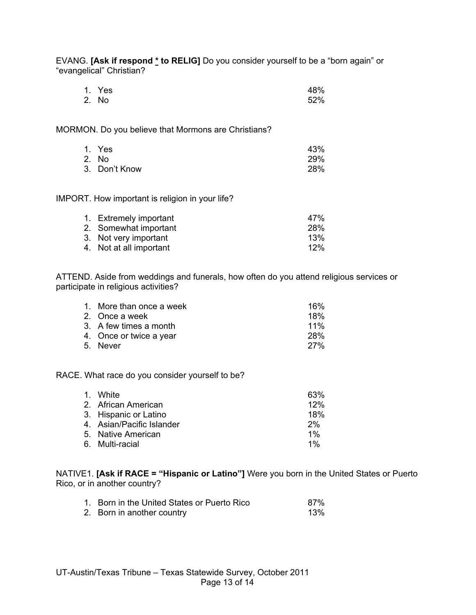EVANG. **[Ask if respond \* to RELIG]** Do you consider yourself to be a "born again" or "evangelical" Christian?

| 1. Yes | 48% |
|--------|-----|
| 2. No  | 52% |

MORMON. Do you believe that Mormons are Christians?

| 1. Yes        | 43% |
|---------------|-----|
| 2. No         | 29% |
| 3. Don't Know | 28% |

IMPORT. How important is religion in your life?

| 1. Extremely important  | 47%    |
|-------------------------|--------|
| 2. Somewhat important   | 28%    |
| 3. Not very important   | 13%    |
| 4. Not at all important | $12\%$ |
|                         |        |

ATTEND. Aside from weddings and funerals, how often do you attend religious services or participate in religious activities?

| 1. More than once a week | 16%        |
|--------------------------|------------|
| 2. Once a week           | 18%        |
| 3. A few times a month   | 11%        |
| 4. Once or twice a year  | <b>28%</b> |
| 5. Never                 | 27%        |

RACE. What race do you consider yourself to be?

| 1. White                  | 63%   |
|---------------------------|-------|
| 2. African American       | 12%   |
| 3. Hispanic or Latino     | 18%   |
| 4. Asian/Pacific Islander | 2%    |
| 5. Native American        | $1\%$ |
| 6. Multi-racial           | $1\%$ |
|                           |       |

NATIVE1. **[Ask if RACE = "Hispanic or Latino"]** Were you born in the United States or Puerto Rico, or in another country?

| 1. Born in the United States or Puerto Rico | 87% |
|---------------------------------------------|-----|
| 2. Born in another country                  | 13% |